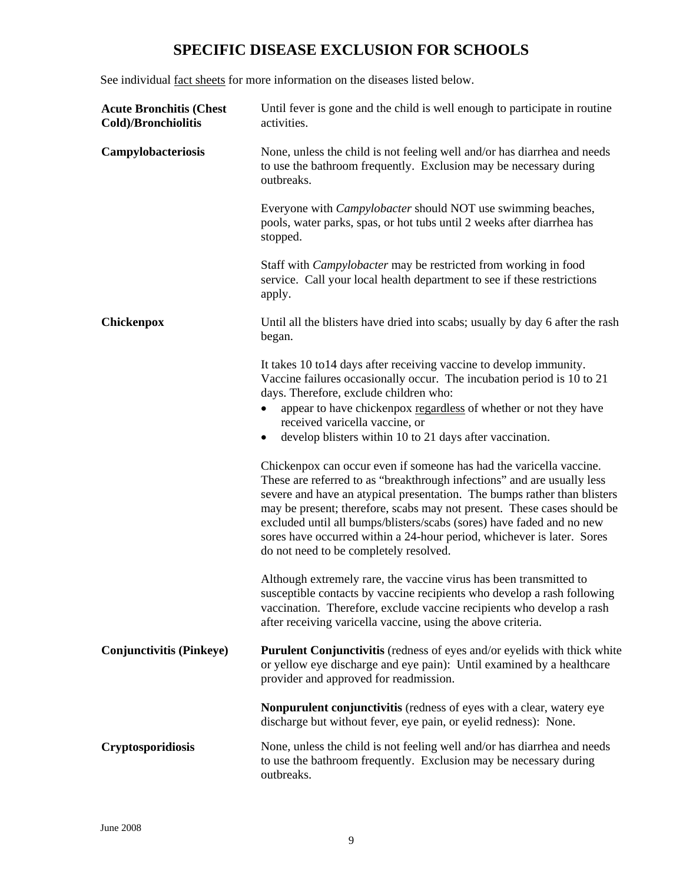# **SPECIFIC DISEASE EXCLUSION FOR SCHOOLS**

See individual fact sheets for more information on the diseases listed below.

| <b>Acute Bronchitis (Chest</b><br>Cold)/Bronchiolitis | Until fever is gone and the child is well enough to participate in routine<br>activities.                                                                                                                                                                                                                                                                                                                                                     |
|-------------------------------------------------------|-----------------------------------------------------------------------------------------------------------------------------------------------------------------------------------------------------------------------------------------------------------------------------------------------------------------------------------------------------------------------------------------------------------------------------------------------|
| Campylobacteriosis                                    | None, unless the child is not feeling well and/or has diarrhea and needs<br>to use the bathroom frequently. Exclusion may be necessary during<br>outbreaks.                                                                                                                                                                                                                                                                                   |
|                                                       | Everyone with <i>Campylobacter</i> should NOT use swimming beaches,<br>pools, water parks, spas, or hot tubs until 2 weeks after diarrhea has<br>stopped.                                                                                                                                                                                                                                                                                     |
|                                                       | Staff with <i>Campylobacter</i> may be restricted from working in food<br>service. Call your local health department to see if these restrictions<br>apply.                                                                                                                                                                                                                                                                                   |
| Chickenpox                                            | Until all the blisters have dried into scabs; usually by day 6 after the rash<br>began.                                                                                                                                                                                                                                                                                                                                                       |
|                                                       | It takes 10 to 14 days after receiving vaccine to develop immunity.<br>Vaccine failures occasionally occur. The incubation period is 10 to 21<br>days. Therefore, exclude children who:<br>appear to have chickenpox regardless of whether or not they have<br>$\bullet$<br>received varicella vaccine, or<br>develop blisters within 10 to 21 days after vaccination.<br>Chickenpox can occur even if someone has had the varicella vaccine. |
|                                                       | These are referred to as "breakthrough infections" and are usually less<br>severe and have an atypical presentation. The bumps rather than blisters<br>may be present; therefore, scabs may not present. These cases should be<br>excluded until all bumps/blisters/scabs (sores) have faded and no new<br>sores have occurred within a 24-hour period, whichever is later. Sores<br>do not need to be completely resolved.                   |
|                                                       | Although extremely rare, the vaccine virus has been transmitted to<br>susceptible contacts by vaccine recipients who develop a rash following<br>vaccination. Therefore, exclude vaccine recipients who develop a rash<br>after receiving varicella vaccine, using the above criteria.                                                                                                                                                        |
| <b>Conjunctivitis (Pinkeye)</b>                       | <b>Purulent Conjunctivitis</b> (redness of eyes and/or eyelids with thick white<br>or yellow eye discharge and eye pain): Until examined by a healthcare<br>provider and approved for readmission.                                                                                                                                                                                                                                            |
|                                                       | <b>Nonpurulent conjunctivitis</b> (redness of eyes with a clear, watery eye<br>discharge but without fever, eye pain, or eyelid redness): None.                                                                                                                                                                                                                                                                                               |
| Cryptosporidiosis                                     | None, unless the child is not feeling well and/or has diarrhea and needs<br>to use the bathroom frequently. Exclusion may be necessary during<br>outbreaks.                                                                                                                                                                                                                                                                                   |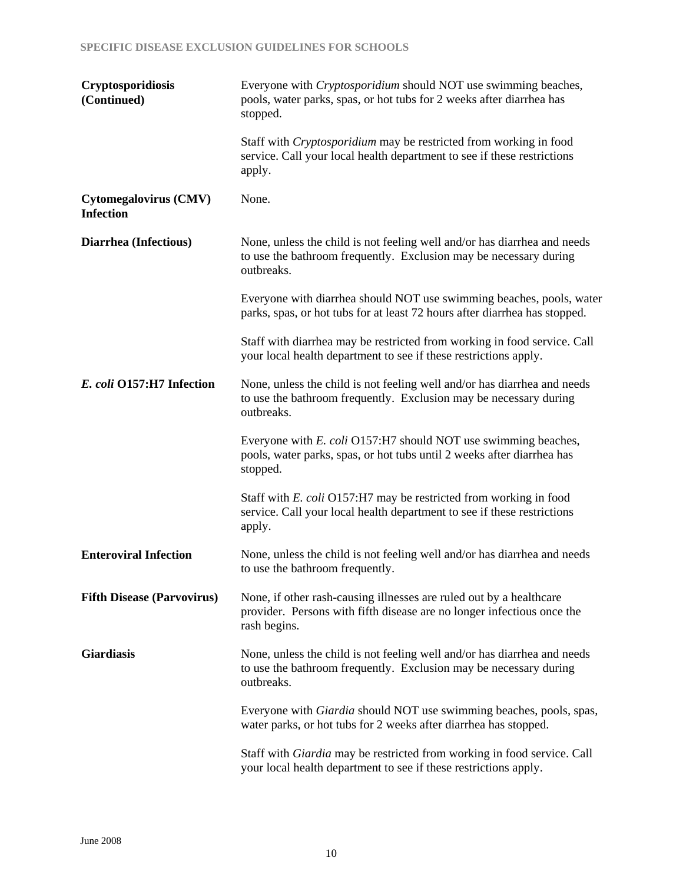| Cryptosporidiosis<br>(Continued)                 | Everyone with <i>Cryptosporidium</i> should NOT use swimming beaches,<br>pools, water parks, spas, or hot tubs for 2 weeks after diarrhea has<br>stopped.     |
|--------------------------------------------------|---------------------------------------------------------------------------------------------------------------------------------------------------------------|
|                                                  | Staff with <i>Cryptosporidium</i> may be restricted from working in food<br>service. Call your local health department to see if these restrictions<br>apply. |
| <b>Cytomegalovirus (CMV)</b><br><b>Infection</b> | None.                                                                                                                                                         |
| Diarrhea (Infectious)                            | None, unless the child is not feeling well and/or has diarrhea and needs<br>to use the bathroom frequently. Exclusion may be necessary during<br>outbreaks.   |
|                                                  | Everyone with diarrhea should NOT use swimming beaches, pools, water<br>parks, spas, or hot tubs for at least 72 hours after diarrhea has stopped.            |
|                                                  | Staff with diarrhea may be restricted from working in food service. Call<br>your local health department to see if these restrictions apply.                  |
| E. coli O157:H7 Infection                        | None, unless the child is not feeling well and/or has diarrhea and needs<br>to use the bathroom frequently. Exclusion may be necessary during<br>outbreaks.   |
|                                                  | Everyone with E. coli O157:H7 should NOT use swimming beaches,<br>pools, water parks, spas, or hot tubs until 2 weeks after diarrhea has<br>stopped.          |
|                                                  | Staff with E. coli O157:H7 may be restricted from working in food<br>service. Call your local health department to see if these restrictions<br>apply.        |
| <b>Enteroviral Infection</b>                     | None, unless the child is not feeling well and/or has diarrhea and needs<br>to use the bathroom frequently.                                                   |
| <b>Fifth Disease (Parvovirus)</b>                | None, if other rash-causing illnesses are ruled out by a healthcare<br>provider. Persons with fifth disease are no longer infectious once the<br>rash begins. |
| <b>Giardiasis</b>                                | None, unless the child is not feeling well and/or has diarrhea and needs<br>to use the bathroom frequently. Exclusion may be necessary during<br>outbreaks.   |
|                                                  | Everyone with <i>Giardia</i> should NOT use swimming beaches, pools, spas,<br>water parks, or hot tubs for 2 weeks after diarrhea has stopped.                |
|                                                  | Staff with <i>Giardia</i> may be restricted from working in food service. Call<br>your local health department to see if these restrictions apply.            |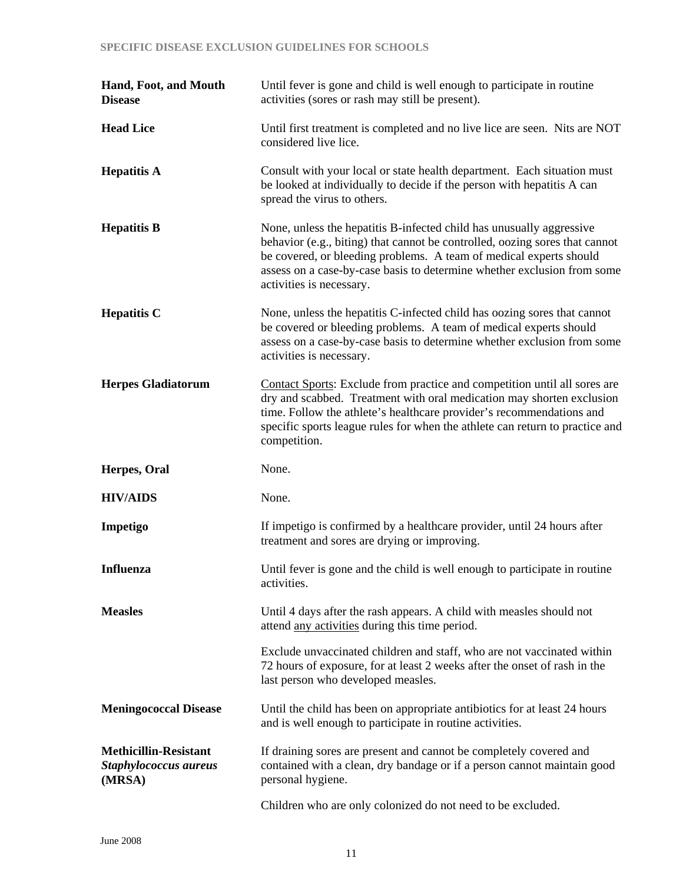# **SPECIFIC DISEASE EXCLUSION GUIDELINES FOR SCHOOLS**

| Hand, Foot, and Mouth<br><b>Disease</b>                         | Until fever is gone and child is well enough to participate in routine<br>activities (sores or rash may still be present).                                                                                                                                                                                                       |
|-----------------------------------------------------------------|----------------------------------------------------------------------------------------------------------------------------------------------------------------------------------------------------------------------------------------------------------------------------------------------------------------------------------|
| <b>Head Lice</b>                                                | Until first treatment is completed and no live lice are seen. Nits are NOT<br>considered live lice.                                                                                                                                                                                                                              |
| <b>Hepatitis A</b>                                              | Consult with your local or state health department. Each situation must<br>be looked at individually to decide if the person with hepatitis A can<br>spread the virus to others.                                                                                                                                                 |
| <b>Hepatitis B</b>                                              | None, unless the hepatitis B-infected child has unusually aggressive<br>behavior (e.g., biting) that cannot be controlled, oozing sores that cannot<br>be covered, or bleeding problems. A team of medical experts should<br>assess on a case-by-case basis to determine whether exclusion from some<br>activities is necessary. |
| <b>Hepatitis C</b>                                              | None, unless the hepatitis C-infected child has oozing sores that cannot<br>be covered or bleeding problems. A team of medical experts should<br>assess on a case-by-case basis to determine whether exclusion from some<br>activities is necessary.                                                                             |
| <b>Herpes Gladiatorum</b>                                       | Contact Sports: Exclude from practice and competition until all sores are<br>dry and scabbed. Treatment with oral medication may shorten exclusion<br>time. Follow the athlete's healthcare provider's recommendations and<br>specific sports league rules for when the athlete can return to practice and<br>competition.       |
| Herpes, Oral                                                    | None.                                                                                                                                                                                                                                                                                                                            |
| <b>HIV/AIDS</b>                                                 | None.                                                                                                                                                                                                                                                                                                                            |
| Impetigo                                                        | If impetigo is confirmed by a healthcare provider, until 24 hours after<br>treatment and sores are drying or improving.                                                                                                                                                                                                          |
| <b>Influenza</b>                                                | Until fever is gone and the child is well enough to participate in routine<br>activities.                                                                                                                                                                                                                                        |
| <b>Measles</b>                                                  | Until 4 days after the rash appears. A child with measles should not<br>attend any activities during this time period.                                                                                                                                                                                                           |
|                                                                 | Exclude unvaccinated children and staff, who are not vaccinated within<br>72 hours of exposure, for at least 2 weeks after the onset of rash in the<br>last person who developed measles.                                                                                                                                        |
| <b>Meningococcal Disease</b>                                    | Until the child has been on appropriate antibiotics for at least 24 hours<br>and is well enough to participate in routine activities.                                                                                                                                                                                            |
| <b>Methicillin-Resistant</b><br>Staphylococcus aureus<br>(MRSA) | If draining sores are present and cannot be completely covered and<br>contained with a clean, dry bandage or if a person cannot maintain good<br>personal hygiene.                                                                                                                                                               |
|                                                                 | Children who are only colonized do not need to be excluded.                                                                                                                                                                                                                                                                      |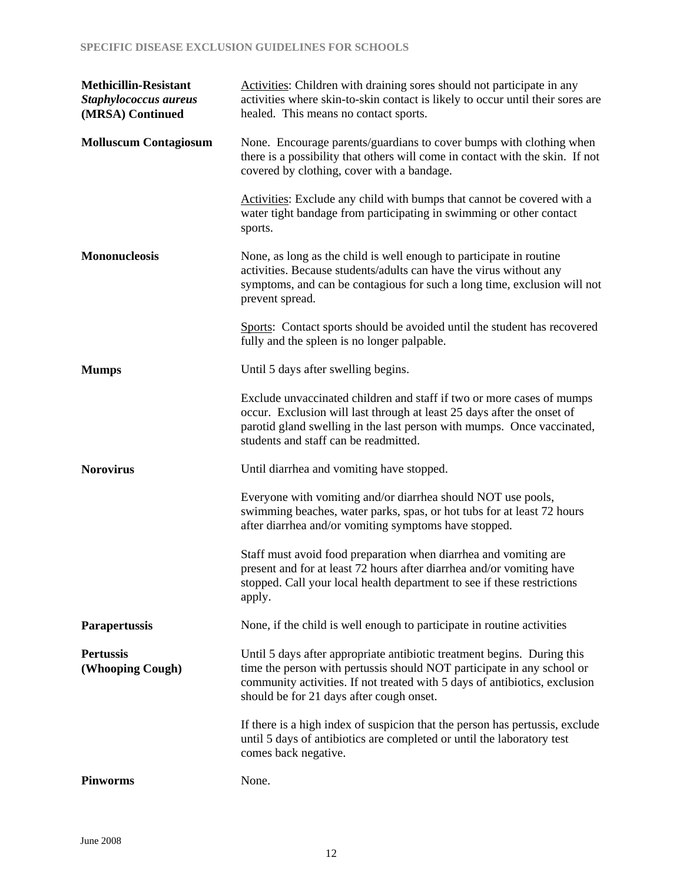| <b>Methicillin-Resistant</b><br>Staphylococcus aureus<br>(MRSA) Continued | Activities: Children with draining sores should not participate in any<br>activities where skin-to-skin contact is likely to occur until their sores are<br>healed. This means no contact sports.                                                                           |
|---------------------------------------------------------------------------|-----------------------------------------------------------------------------------------------------------------------------------------------------------------------------------------------------------------------------------------------------------------------------|
| <b>Molluscum Contagiosum</b>                                              | None. Encourage parents/guardians to cover bumps with clothing when<br>there is a possibility that others will come in contact with the skin. If not<br>covered by clothing, cover with a bandage.                                                                          |
|                                                                           | Activities: Exclude any child with bumps that cannot be covered with a<br>water tight bandage from participating in swimming or other contact<br>sports.                                                                                                                    |
| <b>Mononucleosis</b>                                                      | None, as long as the child is well enough to participate in routine<br>activities. Because students/adults can have the virus without any<br>symptoms, and can be contagious for such a long time, exclusion will not<br>prevent spread.                                    |
|                                                                           | Sports: Contact sports should be avoided until the student has recovered<br>fully and the spleen is no longer palpable.                                                                                                                                                     |
| <b>Mumps</b>                                                              | Until 5 days after swelling begins.                                                                                                                                                                                                                                         |
|                                                                           | Exclude unvaccinated children and staff if two or more cases of mumps<br>occur. Exclusion will last through at least 25 days after the onset of<br>parotid gland swelling in the last person with mumps. Once vaccinated,<br>students and staff can be readmitted.          |
| <b>Norovirus</b>                                                          | Until diarrhea and vomiting have stopped.                                                                                                                                                                                                                                   |
|                                                                           | Everyone with vomiting and/or diarrhea should NOT use pools,<br>swimming beaches, water parks, spas, or hot tubs for at least 72 hours<br>after diarrhea and/or vomiting symptoms have stopped.                                                                             |
|                                                                           | Staff must avoid food preparation when diarrhea and vomiting are<br>present and for at least 72 hours after diarrhea and/or vomiting have<br>stopped. Call your local health department to see if these restrictions<br>apply.                                              |
| <b>Parapertussis</b>                                                      | None, if the child is well enough to participate in routine activities                                                                                                                                                                                                      |
| <b>Pertussis</b><br>(Whooping Cough)                                      | Until 5 days after appropriate antibiotic treatment begins. During this<br>time the person with pertussis should NOT participate in any school or<br>community activities. If not treated with 5 days of antibiotics, exclusion<br>should be for 21 days after cough onset. |
|                                                                           | If there is a high index of suspicion that the person has pertussis, exclude<br>until 5 days of antibiotics are completed or until the laboratory test<br>comes back negative.                                                                                              |
| <b>Pinworms</b>                                                           | None.                                                                                                                                                                                                                                                                       |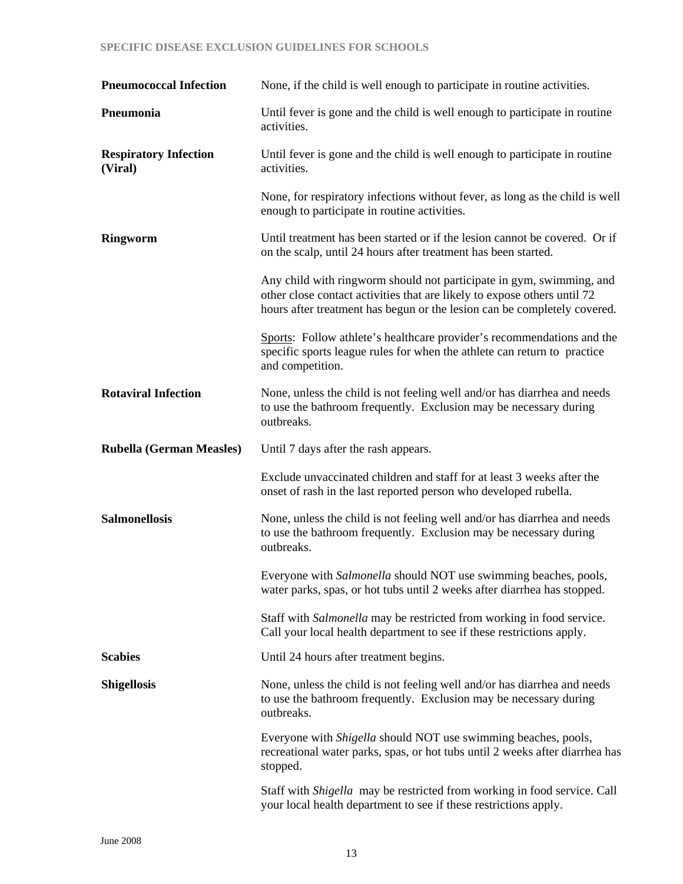## **SPECIFIC DISEASE EXCLUSION GUIDELINES FOR SCHOOLS**

| <b>Pneumococcal Infection</b>           | None, if the child is well enough to participate in routine activities.                                                                                                                                                      |
|-----------------------------------------|------------------------------------------------------------------------------------------------------------------------------------------------------------------------------------------------------------------------------|
| Pneumonia                               | Until fever is gone and the child is well enough to participate in routine<br>activities.                                                                                                                                    |
| <b>Respiratory Infection</b><br>(Viral) | Until fever is gone and the child is well enough to participate in routine<br>activities.                                                                                                                                    |
|                                         | None, for respiratory infections without fever, as long as the child is well<br>enough to participate in routine activities.                                                                                                 |
| <b>Ringworm</b>                         | Until treatment has been started or if the lesion cannot be covered. Or if<br>on the scalp, until 24 hours after treatment has been started.                                                                                 |
|                                         | Any child with ringworm should not participate in gym, swimming, and<br>other close contact activities that are likely to expose others until 72<br>hours after treatment has begun or the lesion can be completely covered. |
|                                         | Sports: Follow athlete's healthcare provider's recommendations and the<br>specific sports league rules for when the athlete can return to practice<br>and competition.                                                       |
| <b>Rotaviral Infection</b>              | None, unless the child is not feeling well and/or has diarrhea and needs<br>to use the bathroom frequently. Exclusion may be necessary during<br>outbreaks.                                                                  |
| <b>Rubella (German Measles)</b>         | Until 7 days after the rash appears.                                                                                                                                                                                         |
|                                         | Exclude unvaccinated children and staff for at least 3 weeks after the<br>onset of rash in the last reported person who developed rubella.                                                                                   |
| <b>Salmonellosis</b>                    | None, unless the child is not feeling well and/or has diarrhea and needs<br>to use the bathroom frequently. Exclusion may be necessary during<br>outbreaks.                                                                  |
|                                         | Everyone with Salmonella should NOT use swimming beaches, pools,<br>water parks, spas, or hot tubs until 2 weeks after diarrhea has stopped.                                                                                 |
|                                         | Staff with Salmonella may be restricted from working in food service.<br>Call your local health department to see if these restrictions apply.                                                                               |
| <b>Scabies</b>                          | Until 24 hours after treatment begins.                                                                                                                                                                                       |
| <b>Shigellosis</b>                      | None, unless the child is not feeling well and/or has diarrhea and needs<br>to use the bathroom frequently. Exclusion may be necessary during<br>outbreaks.                                                                  |
|                                         | Everyone with <i>Shigella</i> should NOT use swimming beaches, pools,<br>recreational water parks, spas, or hot tubs until 2 weeks after diarrhea has<br>stopped.                                                            |
|                                         | Staff with <i>Shigella</i> may be restricted from working in food service. Call<br>your local health department to see if these restrictions apply.                                                                          |